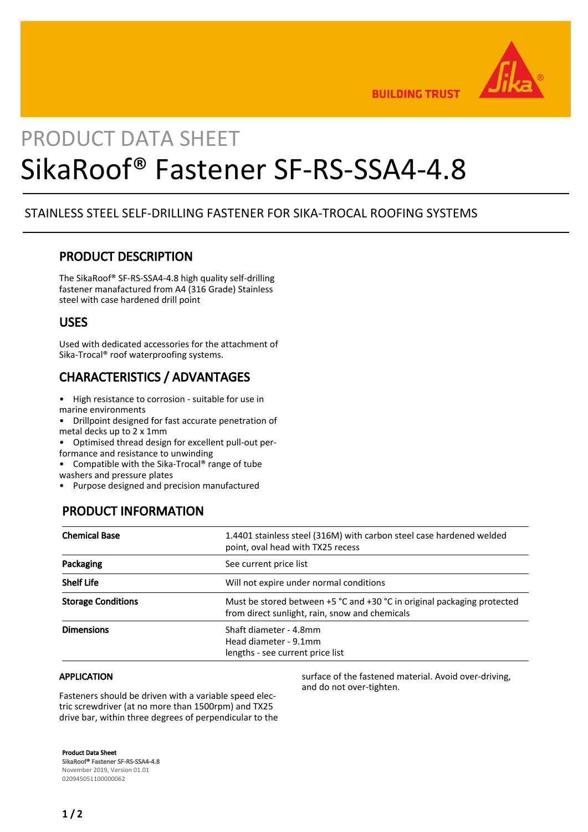

**BUILDING TRUST** 

# PRODUCT DATA SHEET SikaRoof® Fastener SF-RS-SSA4-4.8

## STAINLESS STEEL SELF-DRILLING FASTENER FOR SIKA-TROCAL ROOFING SYSTEMS

## PRODUCT DESCRIPTION

The SikaRoof® SF-RS-SSA4-4.8 high quality self-drilling fastener manafactured from A4 (316 Grade) Stainless steel with case hardened drill point

#### USES

Used with dedicated accessories for the attachment of Sika-Trocal® roof waterproofing systems.

# CHARACTERISTICS / ADVANTAGES

- High resistance to corrosion suitable for use in marine environments
- Drillpoint designed for fast accurate penetration of metal decks up to 2 x 1mm

• Optimised thread design for excellent pull-out per-

formance and resistance to unwinding

• Compatible with the Sika-Trocal® range of tube washers and pressure plates

• Purpose designed and precision manufactured

# PRODUCT INFORMATION

| <b>Chemical Base</b>      | 1.4401 stainless steel (316M) with carbon steel case hardened welded<br>point, oval head with TX25 recess                     |
|---------------------------|-------------------------------------------------------------------------------------------------------------------------------|
| Packaging                 | See current price list                                                                                                        |
| <b>Shelf Life</b>         | Will not expire under normal conditions                                                                                       |
| <b>Storage Conditions</b> | Must be stored between $+5$ °C and $+30$ °C in original packaging protected<br>from direct sunlight, rain, snow and chemicals |
| <b>Dimensions</b>         | Shaft diameter - 4.8mm<br>Head diameter - 9.1mm<br>lengths - see current price list                                           |

#### APPLICATION

Fasteners should be driven with a variable speed electric screwdriver (at no more than 1500rpm) and TX25 drive bar, within three degrees of perpendicular to the surface of the fastened material. Avoid over-driving, and do not over-tighten.

Product Data Sheet SikaRoof® Fastener SF-RS-SSA4-4.8 November 2019, Version 01.01 020945051100000062